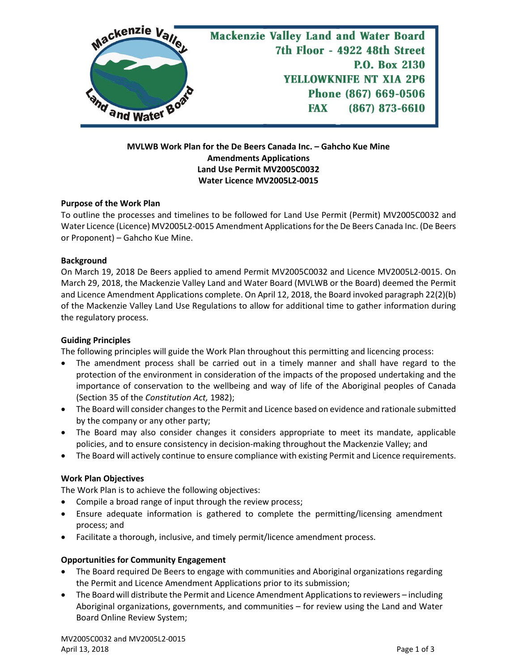

## **MVLWB Work Plan for the De Beers Canada Inc. – Gahcho Kue Mine Amendments Applications Land Use Permit MV2005C0032 Water Licence MV2005L2-0015**

#### **Purpose of the Work Plan**

To outline the processes and timelines to be followed for Land Use Permit (Permit) MV2005C0032 and Water Licence (Licence) MV2005L2-0015 Amendment Applicationsfor the De Beers Canada Inc. (De Beers or Proponent) – Gahcho Kue Mine.

## **Background**

On March 19, 2018 De Beers applied to amend Permit MV2005C0032 and Licence MV2005L2-0015. On March 29, 2018, the Mackenzie Valley Land and Water Board (MVLWB or the Board) deemed the Permit and Licence Amendment Applications complete. On April 12, 2018, the Board invoked paragraph 22(2)(b) of the Mackenzie Valley Land Use Regulations to allow for additional time to gather information during the regulatory process.

# **Guiding Principles**

The following principles will guide the Work Plan throughout this permitting and licencing process:

- The amendment process shall be carried out in a timely manner and shall have regard to the protection of the environment in consideration of the impacts of the proposed undertaking and the importance of conservation to the wellbeing and way of life of the Aboriginal peoples of Canada (Section 35 of the *Constitution Act,* 1982);
- The Board will consider changes to the Permit and Licence based on evidence and rationale submitted by the company or any other party;
- The Board may also consider changes it considers appropriate to meet its mandate, applicable policies, and to ensure consistency in decision-making throughout the Mackenzie Valley; and
- The Board will actively continue to ensure compliance with existing Permit and Licence requirements.

#### **Work Plan Objectives**

The Work Plan is to achieve the following objectives:

- Compile a broad range of input through the review process;
- Ensure adequate information is gathered to complete the permitting/licensing amendment process; and
- Facilitate a thorough, inclusive, and timely permit/licence amendment process.

#### **Opportunities for Community Engagement**

- The Board required De Beers to engage with communities and Aboriginal organizations regarding the Permit and Licence Amendment Applications prior to its submission;
- The Board will distribute the Permit and Licence Amendment Applications to reviewers including Aboriginal organizations, governments, and communities – for review using the Land and Water Board Online Review System;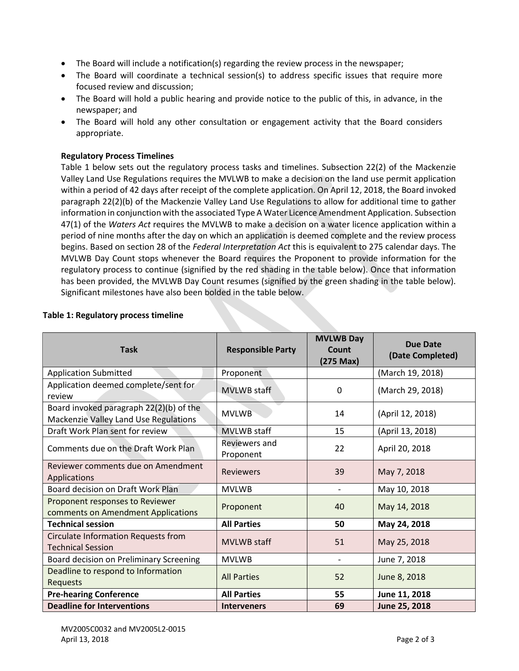- The Board will include a notification(s) regarding the review process in the newspaper;
- The Board will coordinate a technical session(s) to address specific issues that require more focused review and discussion;
- The Board will hold a public hearing and provide notice to the public of this, in advance, in the newspaper; and
- The Board will hold any other consultation or engagement activity that the Board considers appropriate.

### **Regulatory Process Timelines**

Table 1 below sets out the regulatory process tasks and timelines. Subsection 22(2) of the Mackenzie Valley Land Use Regulations requires the MVLWB to make a decision on the land use permit application within a period of 42 days after receipt of the complete application. On April 12, 2018, the Board invoked paragraph 22(2)(b) of the Mackenzie Valley Land Use Regulations to allow for additional time to gather information in conjunction with the associated Type A Water Licence Amendment Application. Subsection 47(1) of the *Waters Act* requires the MVLWB to make a decision on a water licence application within a period of nine months after the day on which an application is deemed complete and the review process begins. Based on section 28 of the *Federal Interpretation Act* this is equivalent to 275 calendar days. The MVLWB Day Count stops whenever the Board requires the Proponent to provide information for the regulatory process to continue (signified by the red shading in the table below). Once that information has been provided, the MVLWB Day Count resumes (signified by the green shading in the table below). Significant milestones have also been bolded in the table below.

| <b>Task</b>                                                                      | <b>Responsible Party</b>   | <b>MVLWB Day</b><br>Count<br>$(275$ Max $)$ | <b>Due Date</b><br>(Date Completed) |
|----------------------------------------------------------------------------------|----------------------------|---------------------------------------------|-------------------------------------|
| <b>Application Submitted</b>                                                     | Proponent                  |                                             | (March 19, 2018)                    |
| Application deemed complete/sent for<br>review                                   | <b>MVLWB</b> staff         | 0                                           | (March 29, 2018)                    |
| Board invoked paragraph 22(2)(b) of the<br>Mackenzie Valley Land Use Regulations | <b>MVLWB</b>               | 14                                          | (April 12, 2018)                    |
| Draft Work Plan sent for review                                                  | <b>MVLWB</b> staff         | 15                                          | (April 13, 2018)                    |
| Comments due on the Draft Work Plan                                              | Reviewers and<br>Proponent | 22                                          | April 20, 2018                      |
| Reviewer comments due on Amendment<br>Applications                               | <b>Reviewers</b>           | 39                                          | May 7, 2018                         |
| Board decision on Draft Work Plan                                                | <b>MVLWB</b>               | $\overline{\phantom{0}}$                    | May 10, 2018                        |
| Proponent responses to Reviewer<br>comments on Amendment Applications            | Proponent                  | 40                                          | May 14, 2018                        |
| <b>Technical session</b>                                                         | <b>All Parties</b>         | 50                                          | May 24, 2018                        |
| Circulate Information Requests from<br><b>Technical Session</b>                  | <b>MVLWB</b> staff         | 51                                          | May 25, 2018                        |
| Board decision on Preliminary Screening                                          | <b>MVLWB</b>               |                                             | June 7, 2018                        |
| Deadline to respond to Information<br><b>Requests</b>                            | <b>All Parties</b>         | 52                                          | June 8, 2018                        |
| <b>Pre-hearing Conference</b>                                                    | <b>All Parties</b>         | 55                                          | June 11, 2018                       |
| <b>Deadline for Interventions</b>                                                | <b>Interveners</b>         | 69                                          | June 25, 2018                       |

## **Table 1: Regulatory process timeline**